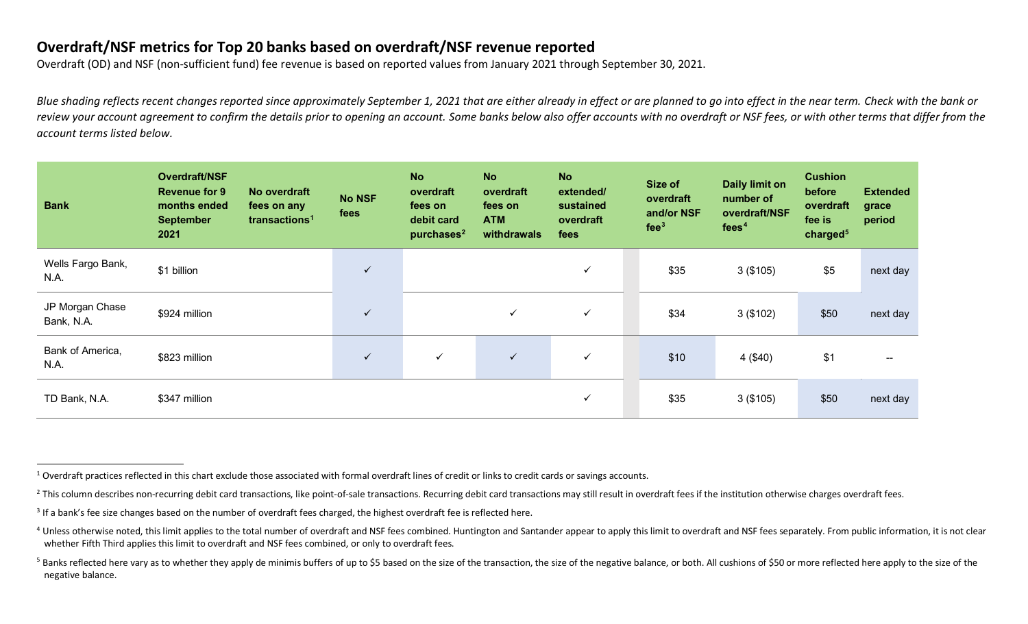## <span id="page-0-4"></span><span id="page-0-3"></span><span id="page-0-2"></span><span id="page-0-1"></span><span id="page-0-0"></span>**Overdraft/NSF metrics for Top 20 banks based on overdraft/NSF revenue reported**

Overdraft (OD) and NSF (non-sufficient fund) fee revenue is based on reported values from January 2021 through September 30, 2021.

*Blue shading reflects recent changes reported since approximately September 1, 2021 that are either already in effect or are planned to go into effect in the near term. Check with the bank or review your account agreement to confirm the details prior to opening an account. Some banks below also offer accounts with no overdraft or NSF fees, or with other terms that differ from the account terms listed below.*

| <b>Bank</b>                   | Overdraft/NSF<br><b>Revenue for 9</b><br>months ended<br><b>September</b><br>2021 | No overdraft<br>fees on any<br>transactions <sup>1</sup> | <b>No NSF</b><br>fees | <b>No</b><br>overdraft<br>fees on<br>debit card<br>purchases $2$ | <b>No</b><br>overdraft<br>fees on<br><b>ATM</b><br>withdrawals | <b>No</b><br>extended/<br>sustained<br>overdraft<br>fees | Size of<br>overdraft<br>and/or NSF<br>fee <sup>3</sup> | <b>Daily limit on</b><br>number of<br>overdraft/NSF<br>fees <sup>4</sup> | <b>Cushion</b><br>before<br>overdraft<br>fee is<br>charged <sup>5</sup> | <b>Extended</b><br>grace<br>period |
|-------------------------------|-----------------------------------------------------------------------------------|----------------------------------------------------------|-----------------------|------------------------------------------------------------------|----------------------------------------------------------------|----------------------------------------------------------|--------------------------------------------------------|--------------------------------------------------------------------------|-------------------------------------------------------------------------|------------------------------------|
| Wells Fargo Bank,<br>N.A.     | \$1 billion                                                                       |                                                          | ✓                     |                                                                  |                                                                | $\checkmark$                                             | \$35                                                   | 3(\$105)                                                                 | \$5                                                                     | next day                           |
| JP Morgan Chase<br>Bank, N.A. | \$924 million                                                                     |                                                          | $\checkmark$          |                                                                  | $\checkmark$                                                   | $\checkmark$                                             | \$34                                                   | 3(\$102)                                                                 | \$50                                                                    | next day                           |
| Bank of America,<br>N.A.      | \$823 million                                                                     |                                                          | ✓                     | $\checkmark$                                                     | $\checkmark$                                                   | $\checkmark$                                             | \$10                                                   | 4 (\$40)                                                                 | \$1                                                                     | --                                 |
| TD Bank, N.A.                 | \$347 million                                                                     |                                                          |                       |                                                                  |                                                                | $\checkmark$                                             | \$35                                                   | 3(\$105)                                                                 | \$50                                                                    | next day                           |

 $1$  Overdraft practices reflected in this chart exclude those associated with formal overdraft lines of credit or links to credit cards or savings accounts.

 $^{2}$  This column describes non-recurring debit card transactions, like point-of-sale transactions. Recurring debit card transactions may still result in overdraft fees if the institution otherwise charges overdraft fees.

<sup>&</sup>lt;sup>3</sup> If a bank's fee size changes based on the number of overdraft fees charged, the highest overdraft fee is reflected here.

<sup>&</sup>lt;sup>4</sup> Unless otherwise noted, this limit applies to the total number of overdraft and NSF fees combined. Huntington and Santander appear to apply this limit to overdraft and NSF fees separately. From public information, it i whether Fifth Third applies this limit to overdraft and NSF fees combined, or only to overdraft fees.

<sup>&</sup>lt;sup>5</sup> Banks reflected here vary as to whether they apply de minimis buffers of up to \$5 based on the size of the transaction, the size of the negative balance, or both. All cushions of \$50 or more reflected here apply to the negative balance.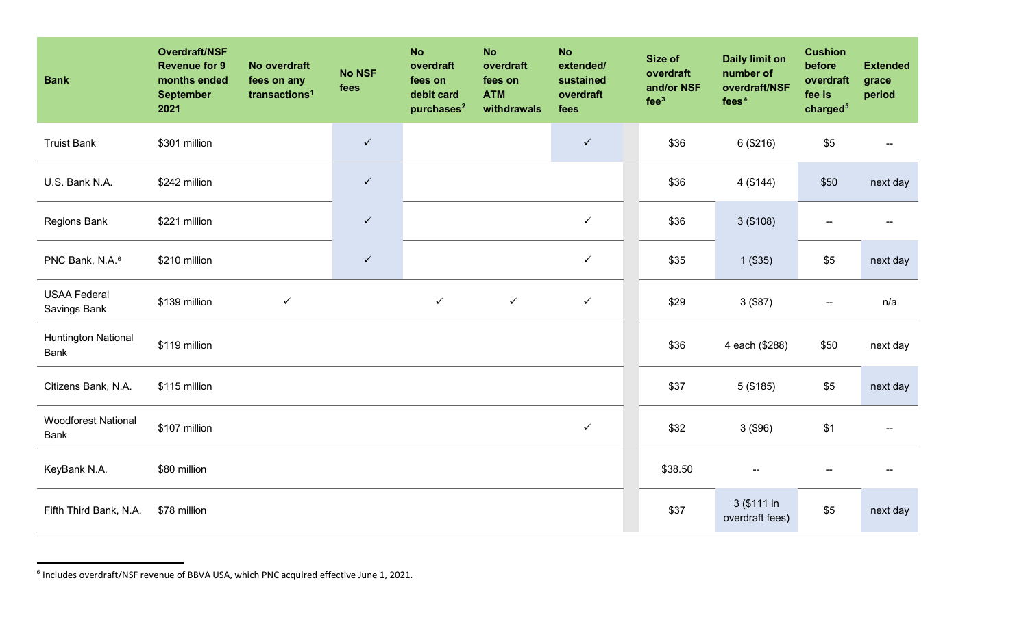<span id="page-1-0"></span>

| <b>Bank</b>                               | Overdraft/NSF<br><b>Revenue for 9</b><br>months ended<br><b>September</b><br>2021 | No overdraft<br>fees on any<br>transactions <sup>1</sup> | <b>No NSF</b><br>fees | <b>No</b><br>overdraft<br>fees on<br>debit card<br>purchases <sup>2</sup> | <b>No</b><br>overdraft<br>fees on<br><b>ATM</b><br>withdrawals | <b>No</b><br>extended/<br>sustained<br>overdraft<br>fees | Size of<br>overdraft<br>and/or NSF<br>fee <sup>3</sup> | <b>Daily limit on</b><br>number of<br>overdraft/NSF<br>fees <sup>4</sup> | <b>Cushion</b><br>before<br>overdraft<br>fee is<br>charged <sup>5</sup> | <b>Extended</b><br>grace<br>period |
|-------------------------------------------|-----------------------------------------------------------------------------------|----------------------------------------------------------|-----------------------|---------------------------------------------------------------------------|----------------------------------------------------------------|----------------------------------------------------------|--------------------------------------------------------|--------------------------------------------------------------------------|-------------------------------------------------------------------------|------------------------------------|
| <b>Truist Bank</b>                        | \$301 million                                                                     |                                                          | $\checkmark$          |                                                                           |                                                                | $\checkmark$                                             | \$36                                                   | 6 (\$216)                                                                | \$5                                                                     |                                    |
| U.S. Bank N.A.                            | \$242 million                                                                     |                                                          | $\checkmark$          |                                                                           |                                                                |                                                          | \$36                                                   | 4(\$144)                                                                 | \$50                                                                    | next day                           |
| Regions Bank                              | \$221 million                                                                     |                                                          | $\checkmark$          |                                                                           |                                                                | $\checkmark$                                             | \$36                                                   | 3(\$108)                                                                 |                                                                         |                                    |
| PNC Bank, N.A. <sup>6</sup>               | \$210 million                                                                     |                                                          | $\checkmark$          |                                                                           |                                                                | $\checkmark$                                             | \$35                                                   | $1($ \$35)                                                               | \$5                                                                     | next day                           |
| <b>USAA Federal</b><br>Savings Bank       | \$139 million                                                                     | $\checkmark$                                             |                       | $\checkmark$                                                              | $\checkmark$                                                   | $\checkmark$                                             | \$29                                                   | $3($ \$87 $)$                                                            | --                                                                      | n/a                                |
| <b>Huntington National</b><br><b>Bank</b> | \$119 million                                                                     |                                                          |                       |                                                                           |                                                                |                                                          | \$36                                                   | 4 each (\$288)                                                           | \$50                                                                    | next day                           |
| Citizens Bank, N.A.                       | \$115 million                                                                     |                                                          |                       |                                                                           |                                                                |                                                          | \$37                                                   | 5(\$185)                                                                 | \$5                                                                     | next day                           |
| <b>Woodforest National</b><br><b>Bank</b> | \$107 million                                                                     |                                                          |                       |                                                                           |                                                                | $\checkmark$                                             | \$32                                                   | 3(\$96)                                                                  | \$1                                                                     |                                    |
| KeyBank N.A.                              | \$80 million                                                                      |                                                          |                       |                                                                           |                                                                |                                                          | \$38.50                                                |                                                                          | --                                                                      |                                    |
| Fifth Third Bank, N.A.                    | \$78 million                                                                      |                                                          |                       |                                                                           |                                                                |                                                          | \$37                                                   | 3 (\$111 in<br>overdraft fees)                                           | \$5                                                                     | next day                           |

 $6$  Includes overdraft/NSF revenue of BBVA USA, which PNC acquired effective June 1, 2021.